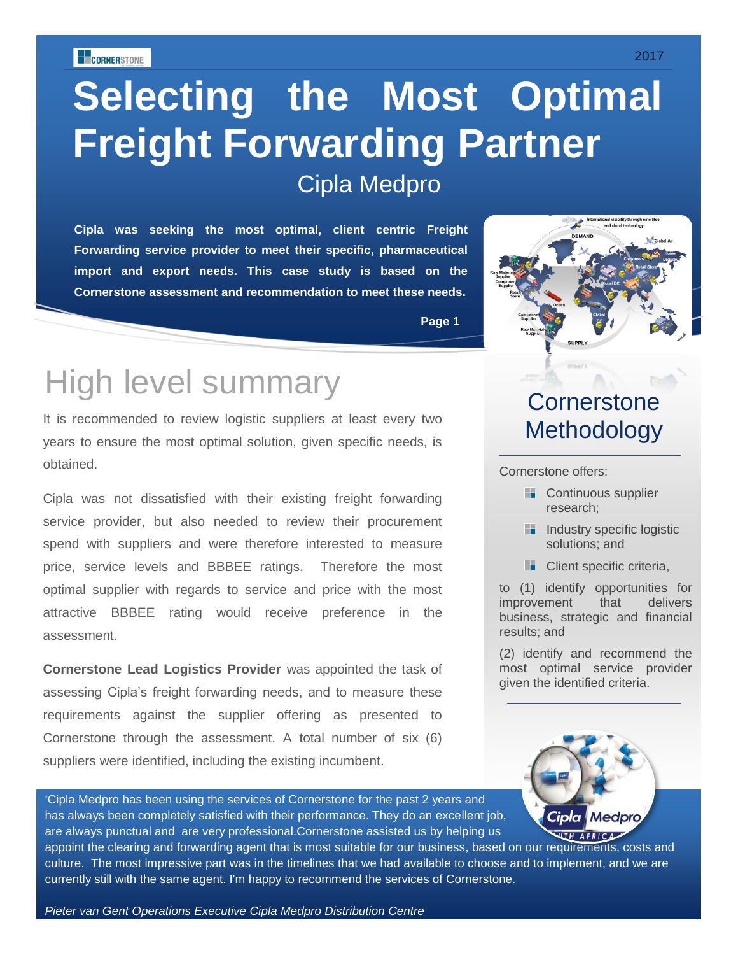# **Selecting the Most Optimal Freight Forwarding Partner** Cipla Medpro

**Cipla was seeking the most optimal, client centric Freight Forwarding service provider to meet their specific, pharmaceutical import and export needs. This case study is based on the Cornerstone assessment and recommendation to meet these needs.**



## High level summary

It is recommended to review logistic suppliers at least every two years to ensure the most optimal solution, given specific needs, is obtained.

Cipla was not dissatisfied with their existing freight forwarding service provider, but also needed to review their procurement spend with suppliers and were therefore interested to measure price, service levels and BBBEE ratings. Therefore the most optimal supplier with regards to service and price with the most attractive BBBEE rating would receive preference in the assessment.

**Cornerstone Lead Logistics Provider** was appointed the task of assessing Cipla's freight forwarding needs, and to measure these requirements against the supplier offering as presented to Cornerstone through the assessment. A total number of six (6) suppliers were identified, including the existing incumbent.



#### **Cornerstone** Methodology

Cornerstone offers:

- **Continuous supplier** research;
- **Industry specific logistic** solutions; and
- **Client specific criteria,**

to (1) identify opportunities for improvement that delivers business, strategic and financial results; and

(2) identify and recommend the most optimal service provider given the identified criteria.



'Cipla Medpro has been using the services of Cornerstone for the past 2 years and has always been completely satisfied with their performance. They do an excellent job, are always punctual and are very professional.Cornerstone assisted us by helping us

appoint the clearing and forwarding agent that is most suitable for our business, based on our requirements, costs and culture. The most impressive part was in the timelines that we had available to choose and to implement, and we are currently still with the same agent. I'm happy to recommend the services of Cornerstone.

*Pieter van Gent Operations Executive Cipla Medpro Distribution Centre*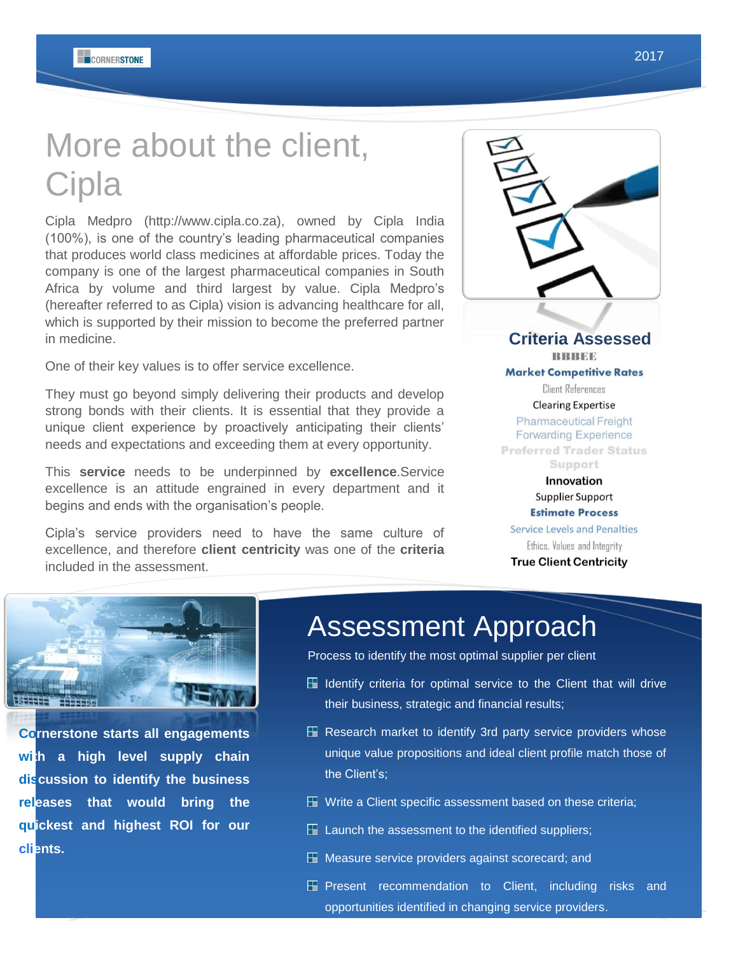# More about the client, **Cipla**

Cipla Medpro (http://www.cipla.co.za), owned by Cipla India (100%), is one of the country's leading pharmaceutical companies that produces world class medicines at affordable prices. Today the company is one of the largest pharmaceutical companies in South Africa by volume and third largest by value. Cipla Medpro's (hereafter referred to as Cipla) vision is advancing healthcare for all, which is supported by their mission to become the preferred partner in medicine.

One of their key values is to offer service excellence.

They must go beyond simply delivering their products and develop strong bonds with their clients. It is essential that they provide a unique client experience by proactively anticipating their clients' needs and expectations and exceeding them at every opportunity.

This **service** needs to be underpinned by **excellence**.Service excellence is an attitude engrained in every department and it begins and ends with the organisation's people.

Cipla's service providers need to have the same culture of excellence, and therefore **client centricity** was one of the **criteria** included in the assessment.

**Criteria Assessed TRIRIRICIE Market Competitive Rates Client References Clearing Expertise Pharmaceutical Freight Forwarding Experience Preferred Trader Status** Support Innovation Supplier Support **Estimate Process Service Levels and Penalties** Ethics, Values and Integrity **True Client Centricity** 



**Cornerstone starts all engagements**  wi<sub>th</sub> a high level supply chain **discussion to identify the business releases that would bring the quickest and highest ROI for our clients.** 

Process to identify the most optimal supplier per client

- $\boxplus$  Identify criteria for optimal service to the Client that will drive their business, strategic and financial results;
- $\boxplus$  Research market to identify 3rd party service providers whose unique value propositions and ideal client profile match those of the Client's;
- $\boxplus$  Write a Client specific assessment based on these criteria;
- $\boxplus$  Launch the assessment to the identified suppliers;
- $\boxplus$  Measure service providers against scorecard; and
- 2 opportunities identified in changing service providers. **E Present recommendation to Client, including risks and**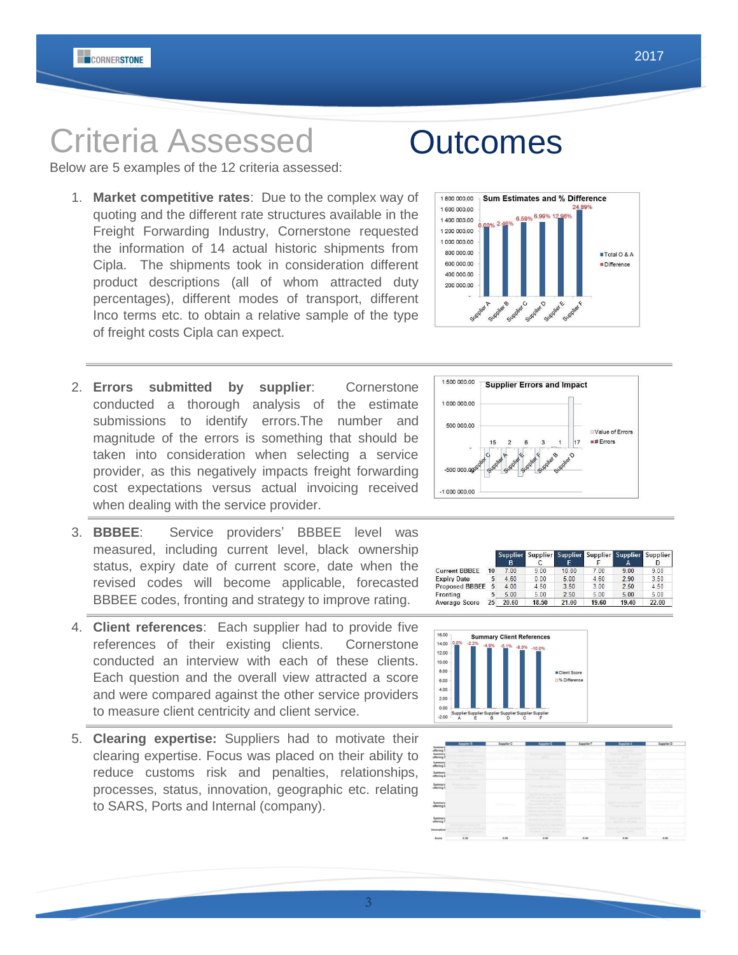# Criteria Assessed

Below are 5 examples of the 12 criteria assessed:

- 1. **Market competitive rates**: Due to the complex way of quoting and the different rate structures available in the Freight Forwarding Industry, Cornerstone requested the information of 14 actual historic shipments from Cipla. The shipments took in consideration different product descriptions (all of whom attracted duty percentages), different modes of transport, different Inco terms etc. to obtain a relative sample of the type of freight costs Cipla can expect.
- 2. **Errors submitted by supplier**: Cornerstone conducted a thorough analysis of the estimate submissions to identify errors.The number and magnitude of the errors is something that should be taken into consideration when selecting a service provider, as this negatively impacts freight forwarding cost expectations versus actual invoicing received when dealing with the service provider.
- 3. **BBBEE**: Service providers' BBBEE level was measured, including current level, black ownership status, expiry date of current score, date when the revised codes will become applicable, forecasted BBBEE codes, fronting and strategy to improve rating.
- 4. **Client references**: Each supplier had to provide five references of their existing clients. Cornerstone conducted an interview with each of these clients. Each question and the overall view attracted a score and were compared against the other service providers to measure client centricity and client service.
- 5. **Clearing expertise:** Suppliers had to motivate their clearing expertise. Focus was placed on their ability to reduce customs risk and penalties, relationships, processes, status, innovation, geographic etc. relating to SARS, Ports and Internal (company).



**Sum Estimates and % Difference** 



Supplie

 $0.00$ 

 $4.50$ 

 $5.00$ 

3.50

 $^{\prime}$ .00

4.60

 $4.00$ 



Total O & A

Difference

 $#$  Errors

**Supplie** 

 $\frac{1}{00}$ 

 $290$ 

 $4.60$ 

 $3.00$ 

upplie

 $\frac{D}{0.00}$ 

3.50

## 200 000.00

 $-50000000$  $-10000000.00$ 

**Current BBBEE** 

Proposed BBBEE

Expiry Date

2.00

600 000 00

400 000.00

1800 000.00

**Outcomes**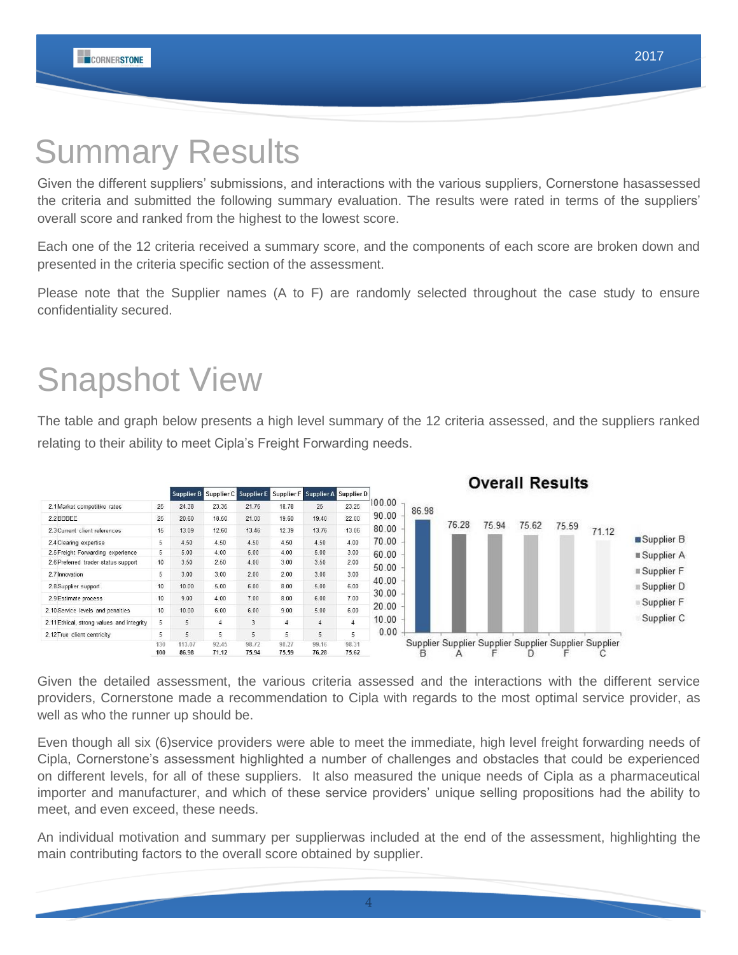## Summary Results

Given the different suppliers' submissions, and interactions with the various suppliers, Cornerstone hasassessed the criteria and submitted the following summary evaluation. The results were rated in terms of the suppliers' overall score and ranked from the highest to the lowest score.

Each one of the 12 criteria received a summary score, and the components of each score are broken down and presented in the criteria specific section of the assessment.

Please note that the Supplier names (A to F) are randomly selected throughout the case study to ensure confidentiality secured.

# Snapshot View

The table and graph below presents a high level summary of the 12 criteria assessed, and the suppliers ranked relating to their ability to meet Cipla's Freight Forwarding needs.



Given the detailed assessment, the various criteria assessed and the interactions with the different service providers, Cornerstone made a recommendation to Cipla with regards to the most optimal service provider, as well as who the runner up should be.

Even though all six (6)service providers were able to meet the immediate, high level freight forwarding needs of Cipla, Cornerstone's assessment highlighted a number of challenges and obstacles that could be experienced on different levels, for all of these suppliers. It also measured the unique needs of Cipla as a pharmaceutical importer and manufacturer, and which of these service providers' unique selling propositions had the ability to meet, and even exceed, these needs.

An individual motivation and summary per supplierwas included at the end of the assessment, highlighting the main contributing factors to the overall score obtained by supplier.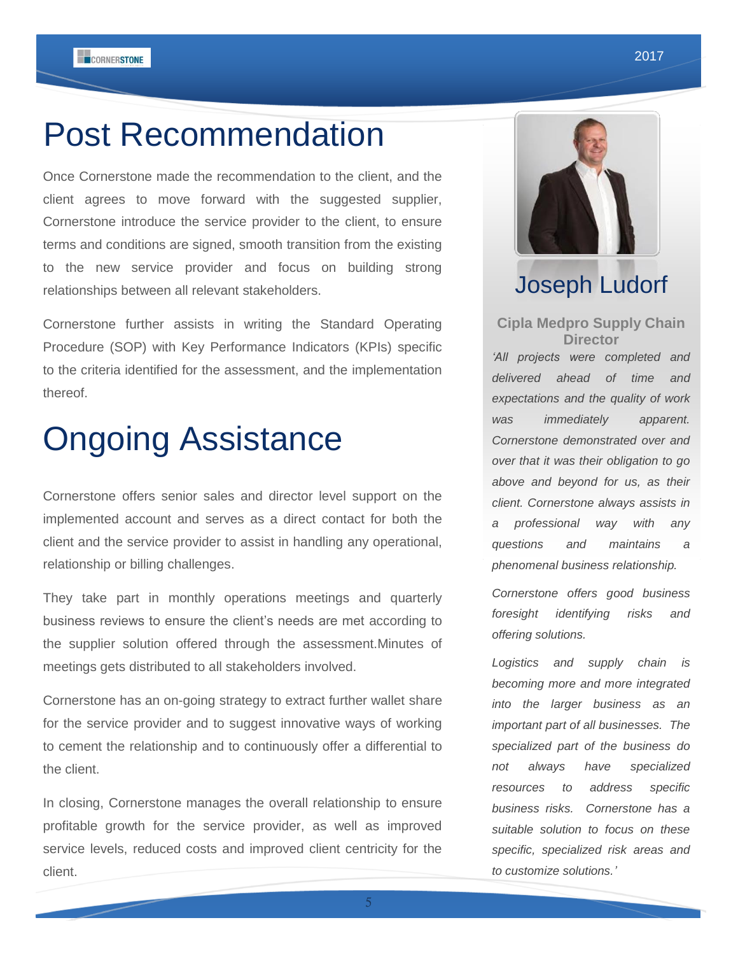## Post Recommendation

Once Cornerstone made the recommendation to the client, and the client agrees to move forward with the suggested supplier, Cornerstone introduce the service provider to the client, to ensure terms and conditions are signed, smooth transition from the existing to the new service provider and focus on building strong relationships between all relevant stakeholders.

Cornerstone further assists in writing the Standard Operating Procedure (SOP) with Key Performance Indicators (KPIs) specific to the criteria identified for the assessment, and the implementation thereof.

## Ongoing Assistance

Cornerstone offers senior sales and director level support on the implemented account and serves as a direct contact for both the client and the service provider to assist in handling any operational, relationship or billing challenges.

They take part in monthly operations meetings and quarterly business reviews to ensure the client's needs are met according to the supplier solution offered through the assessment.Minutes of meetings gets distributed to all stakeholders involved.

Cornerstone has an on-going strategy to extract further wallet share for the service provider and to suggest innovative ways of working to cement the relationship and to continuously offer a differential to the client.

In closing, Cornerstone manages the overall relationship to ensure profitable growth for the service provider, as well as improved service levels, reduced costs and improved client centricity for the client.



## Joseph Ludorf

**Cipla Medpro Supply Chain Director** *'All projects were completed and delivered ahead of time and expectations and the quality of work was immediately apparent. Cornerstone demonstrated over and over that it was their obligation to go above and beyond for us, as their client. Cornerstone always assists in* 

*questions and maintains a phenomenal business relationship.*

*a professional way with any* 

*Cornerstone offers good business foresight identifying risks and offering solutions.*

*Logistics and supply chain is becoming more and more integrated into the larger business as an important part of all businesses. The specialized part of the business do not always have specialized resources to address specific business risks. Cornerstone has a suitable solution to focus on these specific, specialized risk areas and to customize solutions.'*